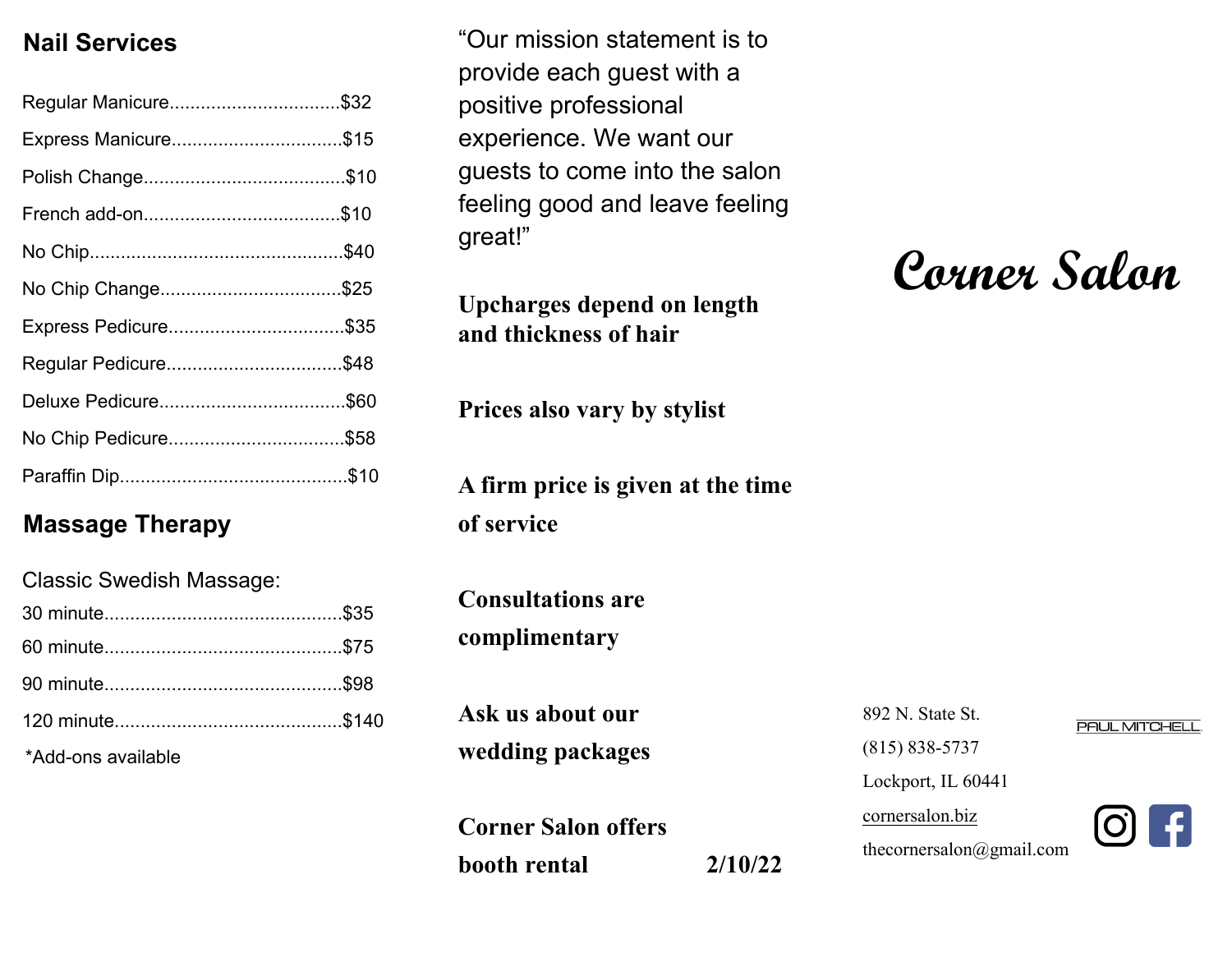#### **Nail Services**

| Regular Manicure\$32 |  |
|----------------------|--|
| Express Manicure\$15 |  |
|                      |  |
|                      |  |
|                      |  |
| No Chip Change\$25   |  |
| Express Pedicure\$35 |  |
| Regular Pedicure\$48 |  |
|                      |  |
| No Chip Pedicure\$58 |  |
|                      |  |

#### **Massage Therapy**

| <b>Classic Swedish Massage:</b> |  |
|---------------------------------|--|
|                                 |  |
|                                 |  |
|                                 |  |
|                                 |  |
| *Add-ons available              |  |

"Our mission statement is to provide each guest with a positive professional experience. We want our guests to come into the salon feeling good and leave feeling great!"

**Upcharges depend on length and thickness of hair**

**Prices also vary by stylist** 

**A firm price is given at the time of service** 

**Consultations are complimentary** 

**Ask us about our wedding packages**

**Corner Salon offers booth rental 2/10/22**

892 N. State St.

(815) 838-5737

Lockport, IL 60441

cornersalon.biz

thecornersalon@gmail.com

**Corner Salon** 



**PAUL MITCHELL**